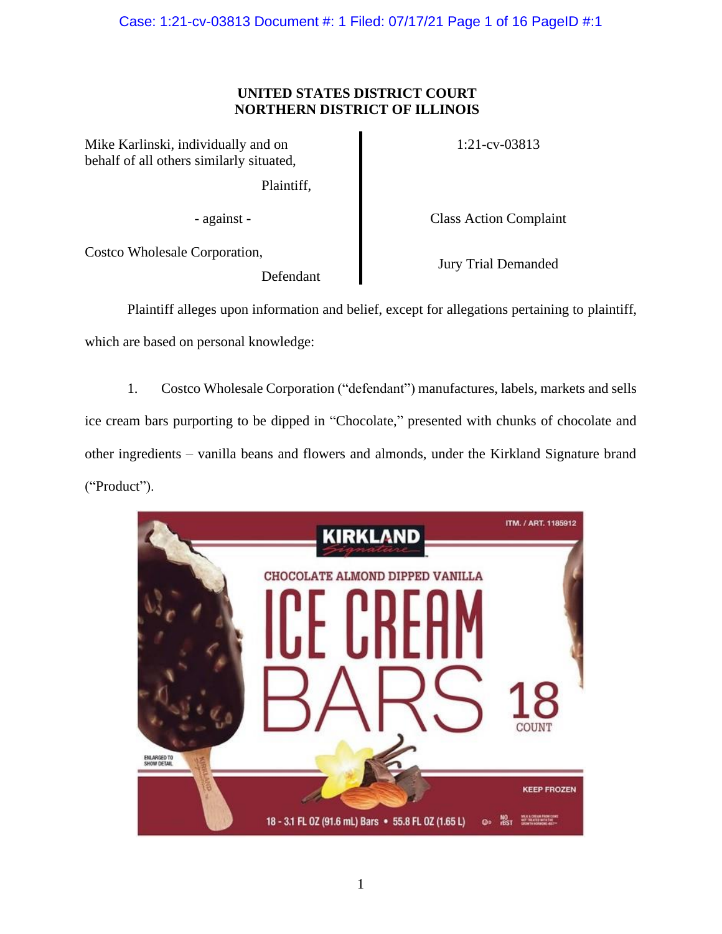Case: 1:21-cv-03813 Document #: 1 Filed: 07/17/21 Page 1 of 16 PageID #:1

# **UNITED STATES DISTRICT COURT NORTHERN DISTRICT OF ILLINOIS**

Mike Karlinski, individually and on behalf of all others similarly situated,

Plaintiff,

1:21-cv-03813

- against - Class Action Complaint

Costco Wholesale Corporation,

Defendant

Jury Trial Demanded

Plaintiff alleges upon information and belief, except for allegations pertaining to plaintiff, which are based on personal knowledge:

1. Costco Wholesale Corporation ("defendant") manufactures, labels, markets and sells ice cream bars purporting to be dipped in "Chocolate," presented with chunks of chocolate and other ingredients – vanilla beans and flowers and almonds, under the Kirkland Signature brand ("Product").

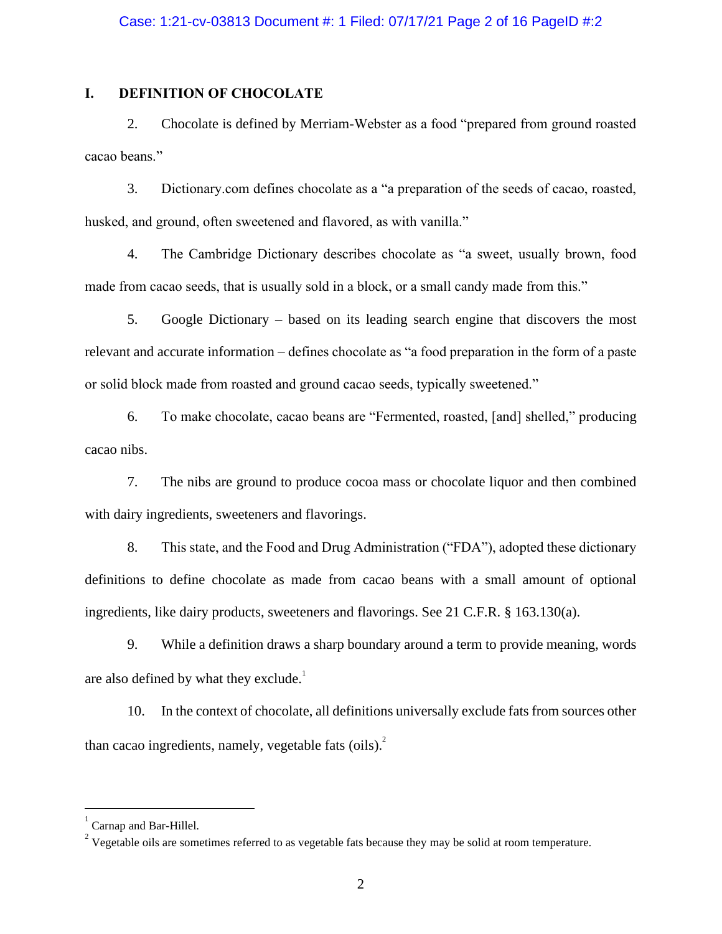# **I. DEFINITION OF CHOCOLATE**

2. Chocolate is defined by Merriam-Webster as a food "prepared from ground roasted cacao beans."

3. Dictionary.com defines chocolate as a "a preparation of the seeds of cacao, roasted, husked, and ground, often sweetened and flavored, as with vanilla."

4. The Cambridge Dictionary describes chocolate as "a sweet, usually brown, food made from cacao seeds, that is usually sold in a block, or a small candy made from this."

5. Google Dictionary – based on its leading search engine that discovers the most relevant and accurate information – defines chocolate as "a food preparation in the form of a paste or solid block made from roasted and ground cacao seeds, typically sweetened."

6. To make chocolate, cacao beans are "Fermented, roasted, [and] shelled," producing cacao nibs.

7. The nibs are ground to produce cocoa mass or chocolate liquor and then combined with dairy ingredients, sweeteners and flavorings.

8. This state, and the Food and Drug Administration ("FDA"), adopted these dictionary definitions to define chocolate as made from cacao beans with a small amount of optional ingredients, like dairy products, sweeteners and flavorings. See 21 C.F.R. § 163.130(a).

9. While a definition draws a sharp boundary around a term to provide meaning, words are also defined by what they exclude. $<sup>1</sup>$ </sup>

10. In the context of chocolate, all definitions universally exclude fats from sources other than cacao ingredients, namely, vegetable fats (oils).<sup>2</sup>

<sup>1</sup> Carnap and Bar-Hillel.

<sup>&</sup>lt;sup>2</sup> Vegetable oils are sometimes referred to as vegetable fats because they may be solid at room temperature.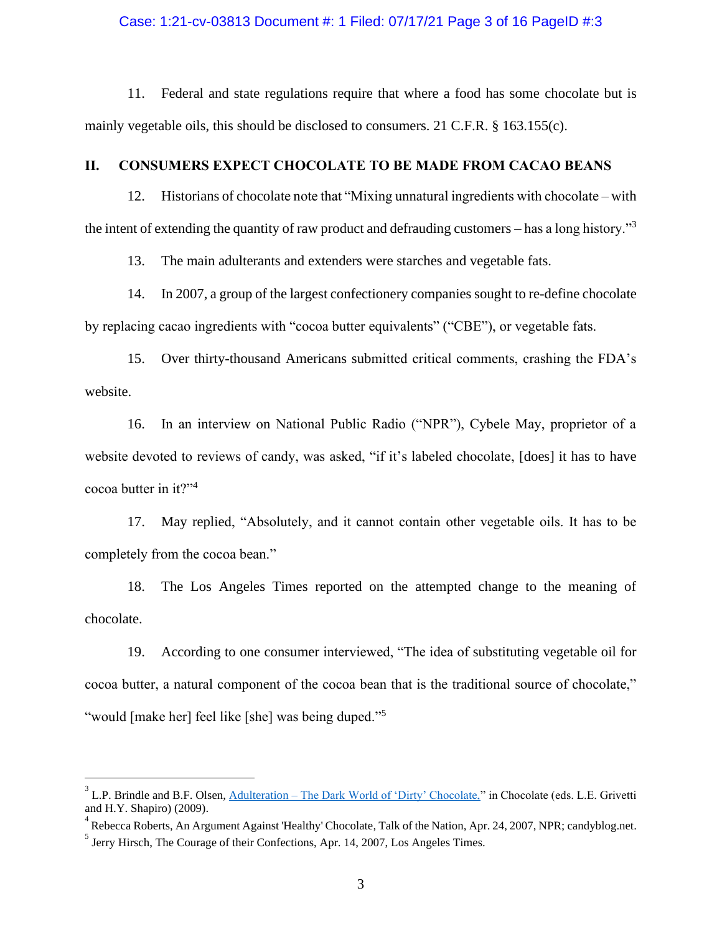### Case: 1:21-cv-03813 Document #: 1 Filed: 07/17/21 Page 3 of 16 PageID #:3

11. Federal and state regulations require that where a food has some chocolate but is mainly vegetable oils, this should be disclosed to consumers. 21 C.F.R. § 163.155(c).

### **II. CONSUMERS EXPECT CHOCOLATE TO BE MADE FROM CACAO BEANS**

12. Historians of chocolate note that "Mixing unnatural ingredients with chocolate – with the intent of extending the quantity of raw product and defrauding customers – has a long history."<sup>3</sup>

13. The main adulterants and extenders were starches and vegetable fats.

14. In 2007, a group of the largest confectionery companies sought to re-define chocolate by replacing cacao ingredients with "cocoa butter equivalents" ("CBE"), or vegetable fats.

15. Over thirty-thousand Americans submitted critical comments, crashing the FDA's website.

16. In an interview on National Public Radio ("NPR"), Cybele May, proprietor of a website devoted to reviews of candy, was asked, "if it's labeled chocolate, [does] it has to have cocoa butter in it?"<sup>4</sup>

17. May replied, "Absolutely, and it cannot contain other vegetable oils. It has to be completely from the cocoa bean."

18. The Los Angeles Times reported on the attempted change to the meaning of chocolate.

19. According to one consumer interviewed, "The idea of substituting vegetable oil for cocoa butter, a natural component of the cocoa bean that is the traditional source of chocolate," "would [make her] feel like [she] was being duped."<sup>5</sup>

 $3$  L.P. Brindle and B.F. Olsen,  $\underline{\text{Adu}}$  teration – [The Dark World of 'Dirty' Chocolate,"](https://doi.org/10.1002/9780470411315.ch47) in Chocolate (eds. L.E. Grivetti and H.Y. Shapiro) (2009).

<sup>&</sup>lt;sup>4</sup> Rebecca Roberts, An Argument Against 'Healthy' Chocolate, Talk of the Nation, Apr. 24, 2007, NPR; candyblog.net.

<sup>&</sup>lt;sup>5</sup> Jerry Hirsch, The Courage of their Confections, Apr. 14, 2007, Los Angeles Times.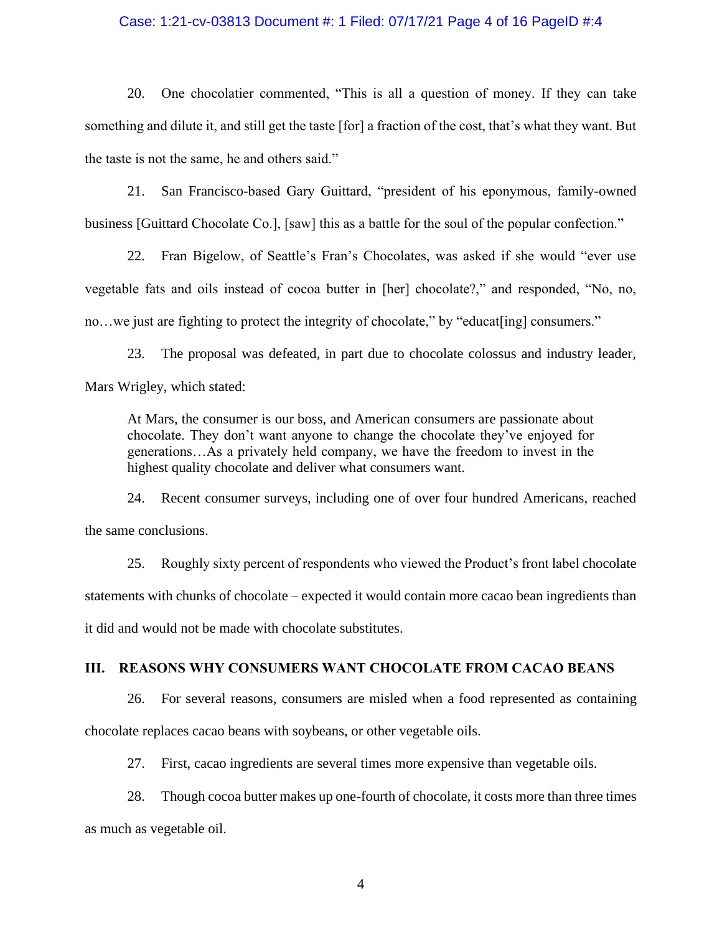### Case: 1:21-cv-03813 Document #: 1 Filed: 07/17/21 Page 4 of 16 PageID #:4

20. One chocolatier commented, "This is all a question of money. If they can take something and dilute it, and still get the taste [for] a fraction of the cost, that's what they want. But the taste is not the same, he and others said."

21. San Francisco-based Gary Guittard, "president of his eponymous, family-owned business [Guittard Chocolate Co.], [saw] this as a battle for the soul of the popular confection."

22. Fran Bigelow, of Seattle's Fran's Chocolates, was asked if she would "ever use vegetable fats and oils instead of cocoa butter in [her] chocolate?," and responded, "No, no, no...we just are fighting to protect the integrity of chocolate," by "educat [ing] consumers."

23. The proposal was defeated, in part due to chocolate colossus and industry leader, Mars Wrigley, which stated:

At Mars, the consumer is our boss, and American consumers are passionate about chocolate. They don't want anyone to change the chocolate they've enjoyed for generations…As a privately held company, we have the freedom to invest in the highest quality chocolate and deliver what consumers want.

24. Recent consumer surveys, including one of over four hundred Americans, reached the same conclusions.

25. Roughly sixty percent of respondents who viewed the Product's front label chocolate statements with chunks of chocolate – expected it would contain more cacao bean ingredients than it did and would not be made with chocolate substitutes.

### **III. REASONS WHY CONSUMERS WANT CHOCOLATE FROM CACAO BEANS**

26. For several reasons, consumers are misled when a food represented as containing chocolate replaces cacao beans with soybeans, or other vegetable oils.

27. First, cacao ingredients are several times more expensive than vegetable oils.

28. Though cocoa butter makes up one-fourth of chocolate, it costs more than three times as much as vegetable oil.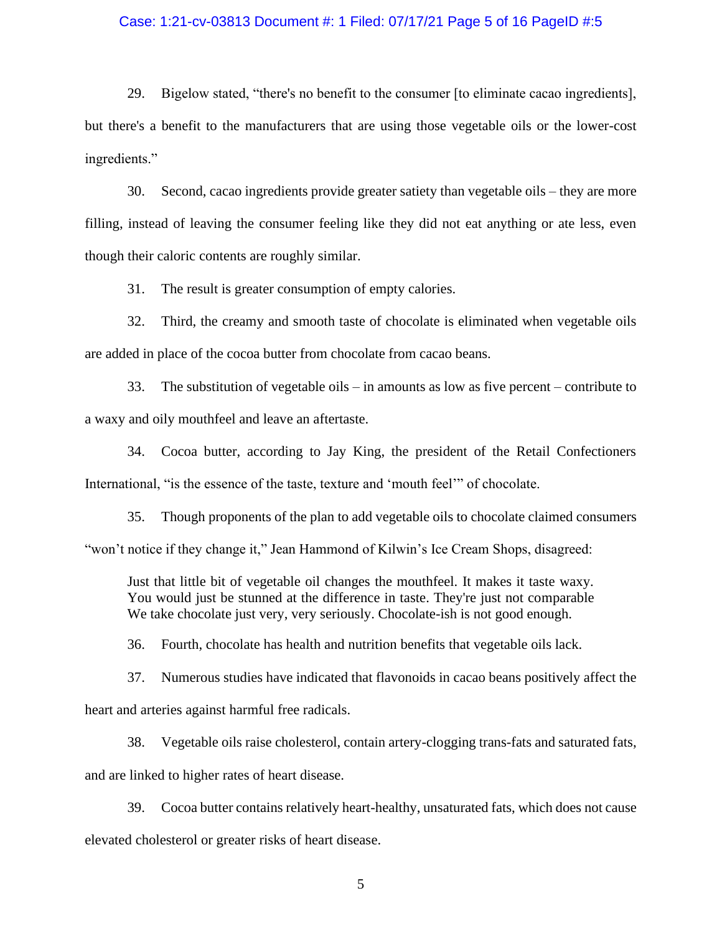### Case: 1:21-cv-03813 Document #: 1 Filed: 07/17/21 Page 5 of 16 PageID #:5

29. Bigelow stated, "there's no benefit to the consumer [to eliminate cacao ingredients], but there's a benefit to the manufacturers that are using those vegetable oils or the lower-cost ingredients."

30. Second, cacao ingredients provide greater satiety than vegetable oils – they are more filling, instead of leaving the consumer feeling like they did not eat anything or ate less, even though their caloric contents are roughly similar.

31. The result is greater consumption of empty calories.

32. Third, the creamy and smooth taste of chocolate is eliminated when vegetable oils are added in place of the cocoa butter from chocolate from cacao beans.

33. The substitution of vegetable oils – in amounts as low as five percent – contribute to a waxy and oily mouthfeel and leave an aftertaste.

34. Cocoa butter, according to Jay King, the president of the Retail Confectioners International, "is the essence of the taste, texture and 'mouth feel'" of chocolate.

35. Though proponents of the plan to add vegetable oils to chocolate claimed consumers "won't notice if they change it," Jean Hammond of Kilwin's Ice Cream Shops, disagreed:

Just that little bit of vegetable oil changes the mouthfeel. It makes it taste waxy. You would just be stunned at the difference in taste. They're just not comparable We take chocolate just very, very seriously. Chocolate-ish is not good enough.

36. Fourth, chocolate has health and nutrition benefits that vegetable oils lack.

37. Numerous studies have indicated that flavonoids in cacao beans positively affect the heart and arteries against harmful free radicals.

38. Vegetable oils raise cholesterol, contain artery-clogging trans-fats and saturated fats, and are linked to higher rates of heart disease.

39. Cocoa butter contains relatively heart-healthy, unsaturated fats, which does not cause elevated cholesterol or greater risks of heart disease.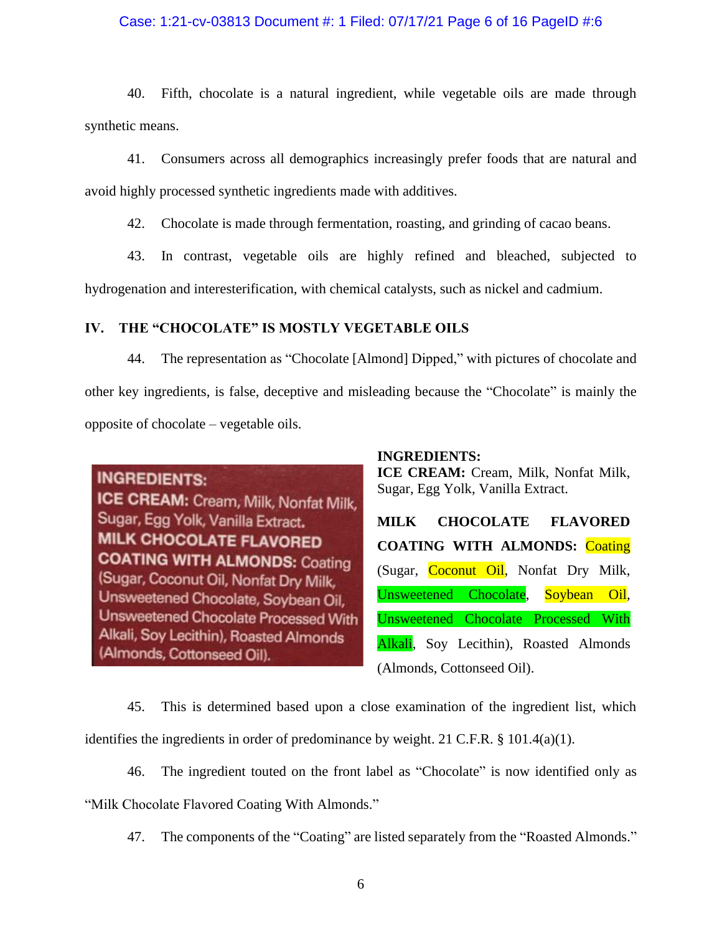## Case: 1:21-cv-03813 Document #: 1 Filed: 07/17/21 Page 6 of 16 PageID #:6

40. Fifth, chocolate is a natural ingredient, while vegetable oils are made through synthetic means.

41. Consumers across all demographics increasingly prefer foods that are natural and avoid highly processed synthetic ingredients made with additives.

42. Chocolate is made through fermentation, roasting, and grinding of cacao beans.

43. In contrast, vegetable oils are highly refined and bleached, subjected to hydrogenation and interesterification, with chemical catalysts, such as nickel and cadmium.

# **IV. THE "CHOCOLATE" IS MOSTLY VEGETABLE OILS**

44. The representation as "Chocolate [Almond] Dipped," with pictures of chocolate and other key ingredients, is false, deceptive and misleading because the "Chocolate" is mainly the opposite of chocolate – vegetable oils.



## **INGREDIENTS:**

**ICE CREAM:** Cream, Milk, Nonfat Milk, Sugar, Egg Yolk, Vanilla Extract.

**MILK CHOCOLATE FLAVORED COATING WITH ALMONDS:** Coating (Sugar, Coconut Oil, Nonfat Dry Milk, Unsweetened Chocolate, Soybean Oil, Unsweetened Chocolate Processed With Alkali, Soy Lecithin), Roasted Almonds (Almonds, Cottonseed Oil).

45. This is determined based upon a close examination of the ingredient list, which identifies the ingredients in order of predominance by weight. 21 C.F.R. § 101.4(a)(1).

46. The ingredient touted on the front label as "Chocolate" is now identified only as

"Milk Chocolate Flavored Coating With Almonds."

47. The components of the "Coating" are listed separately from the "Roasted Almonds."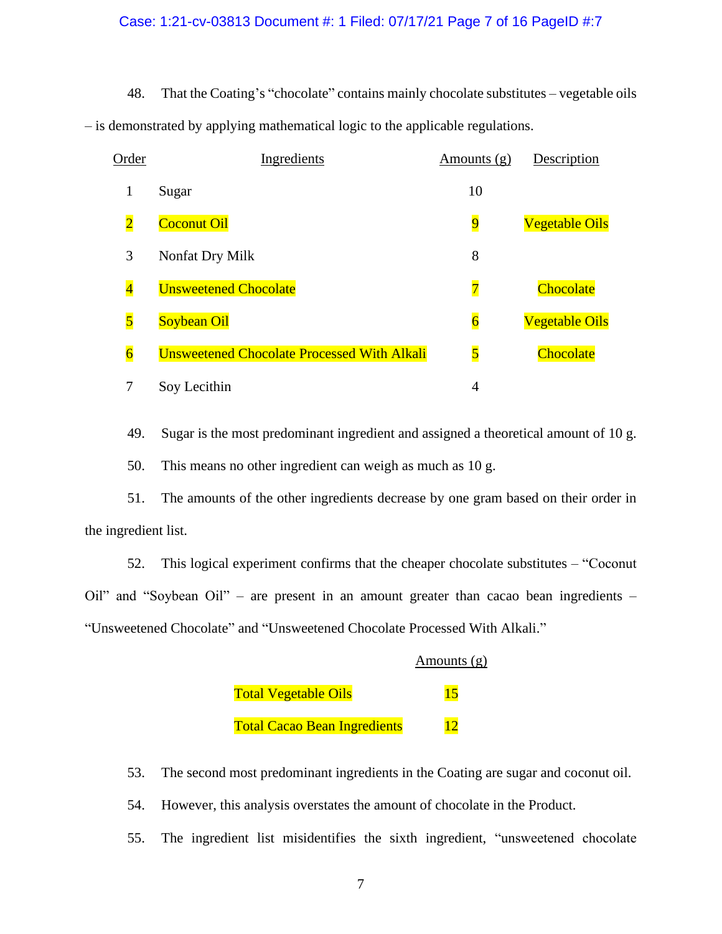### Case: 1:21-cv-03813 Document #: 1 Filed: 07/17/21 Page 7 of 16 PageID #:7

48. That the Coating's "chocolate" contains mainly chocolate substitutes – vegetable oils – is demonstrated by applying mathematical logic to the applicable regulations.

| Order                   | Ingredients                                        | Amounts $(g)$           | Description           |
|-------------------------|----------------------------------------------------|-------------------------|-----------------------|
| 1                       | Sugar                                              | 10                      |                       |
| $\overline{2}$          | <b>Coconut Oil</b>                                 | $\overline{9}$          | <b>Vegetable Oils</b> |
| 3                       | Nonfat Dry Milk                                    | 8                       |                       |
| $\overline{\mathbf{4}}$ | <b>Unsweetened Chocolate</b>                       | $\overline{\mathbf{7}}$ | Chocolate             |
| $\overline{5}$          | <b>Soybean Oil</b>                                 | $\overline{6}$          | <b>Vegetable Oils</b> |
| $\overline{6}$          | <b>Unsweetened Chocolate Processed With Alkali</b> | $\overline{\mathbf{5}}$ | Chocolate             |
| 7                       | Soy Lecithin                                       | 4                       |                       |

49. Sugar is the most predominant ingredient and assigned a theoretical amount of 10 g.

50. This means no other ingredient can weigh as much as 10 g.

51. The amounts of the other ingredients decrease by one gram based on their order in the ingredient list.

52. This logical experiment confirms that the cheaper chocolate substitutes – "Coconut Oil" and "Soybean Oil" – are present in an amount greater than cacao bean ingredients – "Unsweetened Chocolate" and "Unsweetened Chocolate Processed With Alkali."

|                                     | Amounts $(g)$ |
|-------------------------------------|---------------|
| <u>Total Vegetable Oils</u>         | 15            |
| <b>Total Cacao Bean Ingredients</b> |               |

- 53. The second most predominant ingredients in the Coating are sugar and coconut oil.
- 54. However, this analysis overstates the amount of chocolate in the Product.
- 55. The ingredient list misidentifies the sixth ingredient, "unsweetened chocolate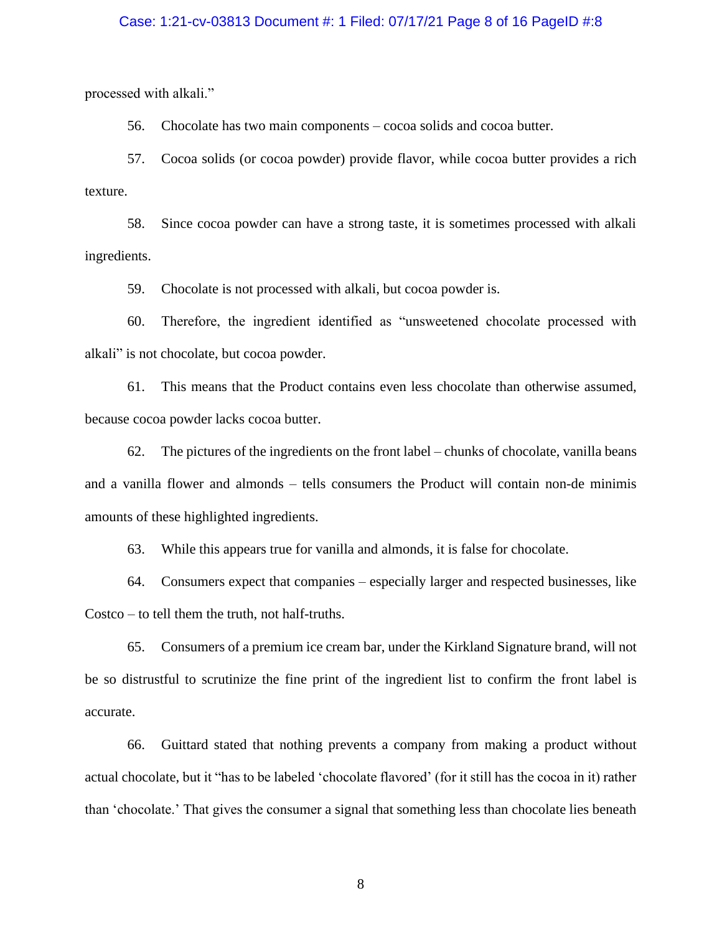### Case: 1:21-cv-03813 Document #: 1 Filed: 07/17/21 Page 8 of 16 PageID #:8

processed with alkali."

56. Chocolate has two main components – cocoa solids and cocoa butter.

57. Cocoa solids (or cocoa powder) provide flavor, while cocoa butter provides a rich texture.

58. Since cocoa powder can have a strong taste, it is sometimes processed with alkali ingredients.

59. Chocolate is not processed with alkali, but cocoa powder is.

60. Therefore, the ingredient identified as "unsweetened chocolate processed with alkali" is not chocolate, but cocoa powder.

61. This means that the Product contains even less chocolate than otherwise assumed, because cocoa powder lacks cocoa butter.

62. The pictures of the ingredients on the front label – chunks of chocolate, vanilla beans and a vanilla flower and almonds – tells consumers the Product will contain non-de minimis amounts of these highlighted ingredients.

63. While this appears true for vanilla and almonds, it is false for chocolate.

64. Consumers expect that companies – especially larger and respected businesses, like Costco – to tell them the truth, not half-truths.

65. Consumers of a premium ice cream bar, under the Kirkland Signature brand, will not be so distrustful to scrutinize the fine print of the ingredient list to confirm the front label is accurate.

66. Guittard stated that nothing prevents a company from making a product without actual chocolate, but it "has to be labeled 'chocolate flavored' (for it still has the cocoa in it) rather than 'chocolate.' That gives the consumer a signal that something less than chocolate lies beneath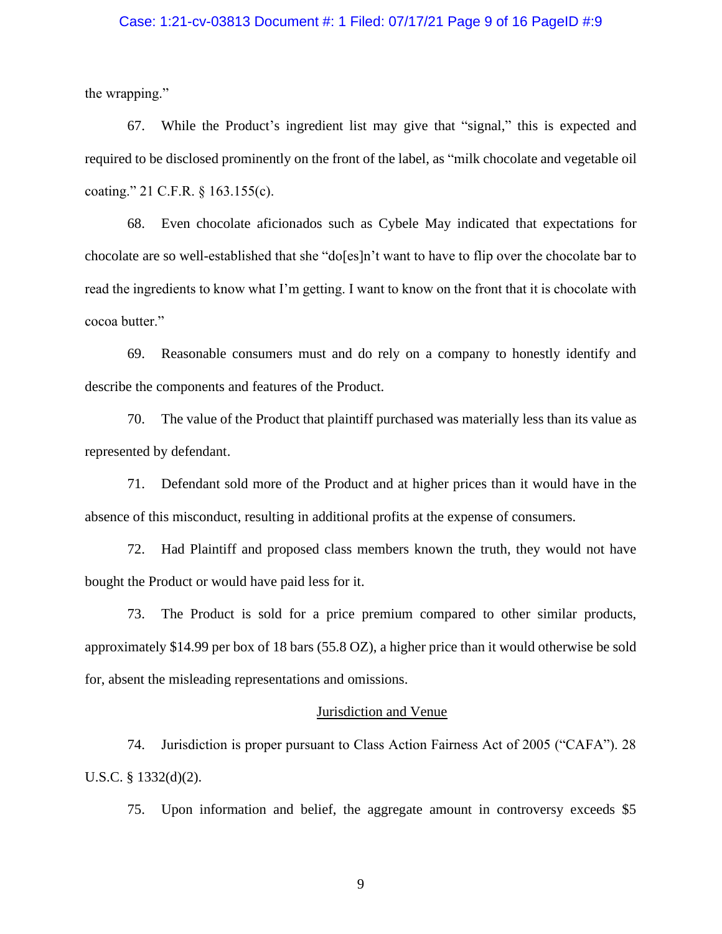### Case: 1:21-cv-03813 Document #: 1 Filed: 07/17/21 Page 9 of 16 PageID #:9

the wrapping."

67. While the Product's ingredient list may give that "signal," this is expected and required to be disclosed prominently on the front of the label, as "milk chocolate and vegetable oil coating." 21 C.F.R. § 163.155(c).

68. Even chocolate aficionados such as Cybele May indicated that expectations for chocolate are so well-established that she "do[es]n't want to have to flip over the chocolate bar to read the ingredients to know what I'm getting. I want to know on the front that it is chocolate with cocoa butter."

69. Reasonable consumers must and do rely on a company to honestly identify and describe the components and features of the Product.

70. The value of the Product that plaintiff purchased was materially less than its value as represented by defendant.

71. Defendant sold more of the Product and at higher prices than it would have in the absence of this misconduct, resulting in additional profits at the expense of consumers.

72. Had Plaintiff and proposed class members known the truth, they would not have bought the Product or would have paid less for it.

73. The Product is sold for a price premium compared to other similar products, approximately \$14.99 per box of 18 bars (55.8 OZ), a higher price than it would otherwise be sold for, absent the misleading representations and omissions.

#### Jurisdiction and Venue

74. Jurisdiction is proper pursuant to Class Action Fairness Act of 2005 ("CAFA"). 28 U.S.C. § 1332(d)(2).

75. Upon information and belief, the aggregate amount in controversy exceeds \$5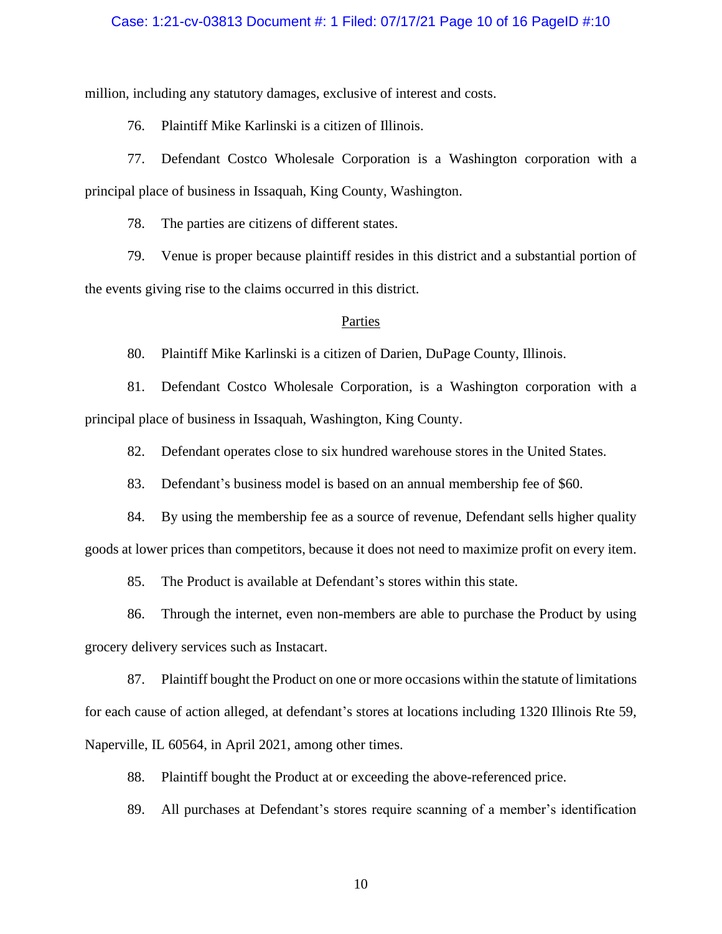### Case: 1:21-cv-03813 Document #: 1 Filed: 07/17/21 Page 10 of 16 PageID #:10

million, including any statutory damages, exclusive of interest and costs.

76. Plaintiff Mike Karlinski is a citizen of Illinois.

77. Defendant Costco Wholesale Corporation is a Washington corporation with a principal place of business in Issaquah, King County, Washington.

78. The parties are citizens of different states.

79. Venue is proper because plaintiff resides in this district and a substantial portion of the events giving rise to the claims occurred in this district.

#### Parties

80. Plaintiff Mike Karlinski is a citizen of Darien, DuPage County, Illinois.

81. Defendant Costco Wholesale Corporation, is a Washington corporation with a principal place of business in Issaquah, Washington, King County.

82. Defendant operates close to six hundred warehouse stores in the United States.

83. Defendant's business model is based on an annual membership fee of \$60.

84. By using the membership fee as a source of revenue, Defendant sells higher quality goods at lower prices than competitors, because it does not need to maximize profit on every item.

85. The Product is available at Defendant's stores within this state.

86. Through the internet, even non-members are able to purchase the Product by using grocery delivery services such as Instacart.

87. Plaintiff bought the Product on one or more occasions within the statute of limitations for each cause of action alleged, at defendant's stores at locations including 1320 Illinois Rte 59, Naperville, IL 60564, in April 2021, among other times.

88. Plaintiff bought the Product at or exceeding the above-referenced price.

89. All purchases at Defendant's stores require scanning of a member's identification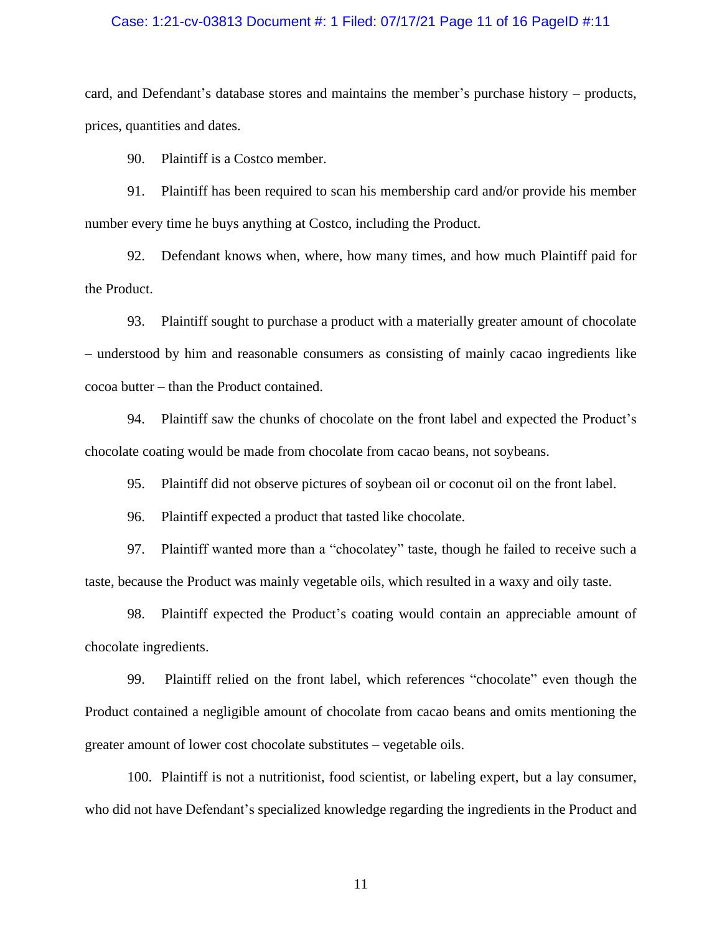### Case: 1:21-cv-03813 Document #: 1 Filed: 07/17/21 Page 11 of 16 PageID #:11

card, and Defendant's database stores and maintains the member's purchase history – products, prices, quantities and dates.

90. Plaintiff is a Costco member.

91. Plaintiff has been required to scan his membership card and/or provide his member number every time he buys anything at Costco, including the Product.

92. Defendant knows when, where, how many times, and how much Plaintiff paid for the Product.

93. Plaintiff sought to purchase a product with a materially greater amount of chocolate – understood by him and reasonable consumers as consisting of mainly cacao ingredients like cocoa butter – than the Product contained.

94. Plaintiff saw the chunks of chocolate on the front label and expected the Product's chocolate coating would be made from chocolate from cacao beans, not soybeans.

95. Plaintiff did not observe pictures of soybean oil or coconut oil on the front label.

96. Plaintiff expected a product that tasted like chocolate.

97. Plaintiff wanted more than a "chocolatey" taste, though he failed to receive such a taste, because the Product was mainly vegetable oils, which resulted in a waxy and oily taste.

98. Plaintiff expected the Product's coating would contain an appreciable amount of chocolate ingredients.

99. Plaintiff relied on the front label, which references "chocolate" even though the Product contained a negligible amount of chocolate from cacao beans and omits mentioning the greater amount of lower cost chocolate substitutes – vegetable oils.

100. Plaintiff is not a nutritionist, food scientist, or labeling expert, but a lay consumer, who did not have Defendant's specialized knowledge regarding the ingredients in the Product and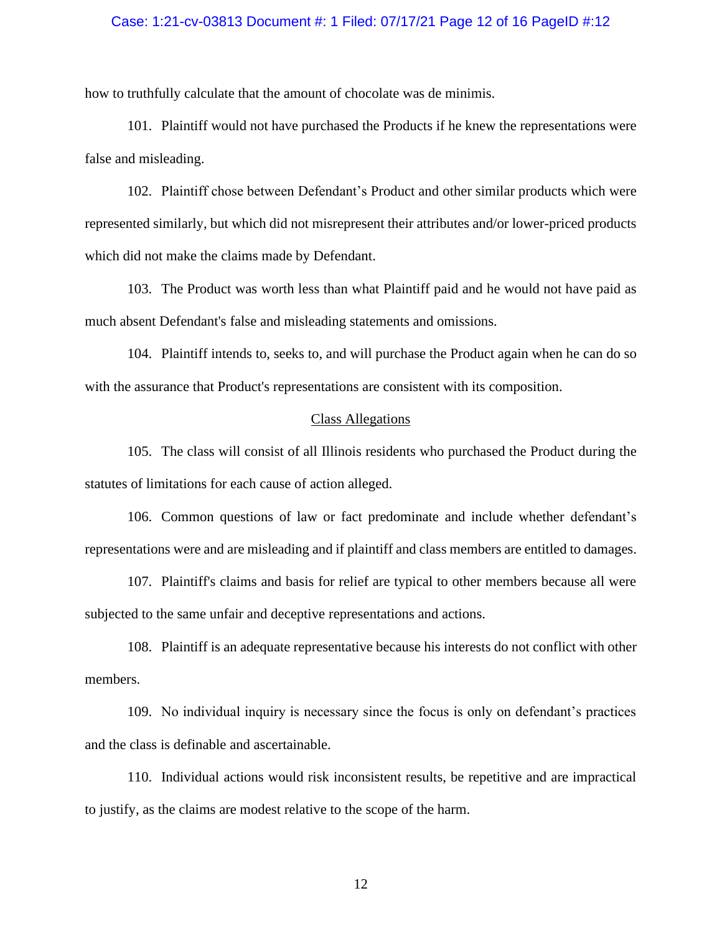### Case: 1:21-cv-03813 Document #: 1 Filed: 07/17/21 Page 12 of 16 PageID #:12

how to truthfully calculate that the amount of chocolate was de minimis.

101. Plaintiff would not have purchased the Products if he knew the representations were false and misleading.

102. Plaintiff chose between Defendant's Product and other similar products which were represented similarly, but which did not misrepresent their attributes and/or lower-priced products which did not make the claims made by Defendant.

103. The Product was worth less than what Plaintiff paid and he would not have paid as much absent Defendant's false and misleading statements and omissions.

104. Plaintiff intends to, seeks to, and will purchase the Product again when he can do so with the assurance that Product's representations are consistent with its composition.

### Class Allegations

105. The class will consist of all Illinois residents who purchased the Product during the statutes of limitations for each cause of action alleged.

106. Common questions of law or fact predominate and include whether defendant's representations were and are misleading and if plaintiff and class members are entitled to damages.

107. Plaintiff's claims and basis for relief are typical to other members because all were subjected to the same unfair and deceptive representations and actions.

108. Plaintiff is an adequate representative because his interests do not conflict with other members.

109. No individual inquiry is necessary since the focus is only on defendant's practices and the class is definable and ascertainable.

110. Individual actions would risk inconsistent results, be repetitive and are impractical to justify, as the claims are modest relative to the scope of the harm.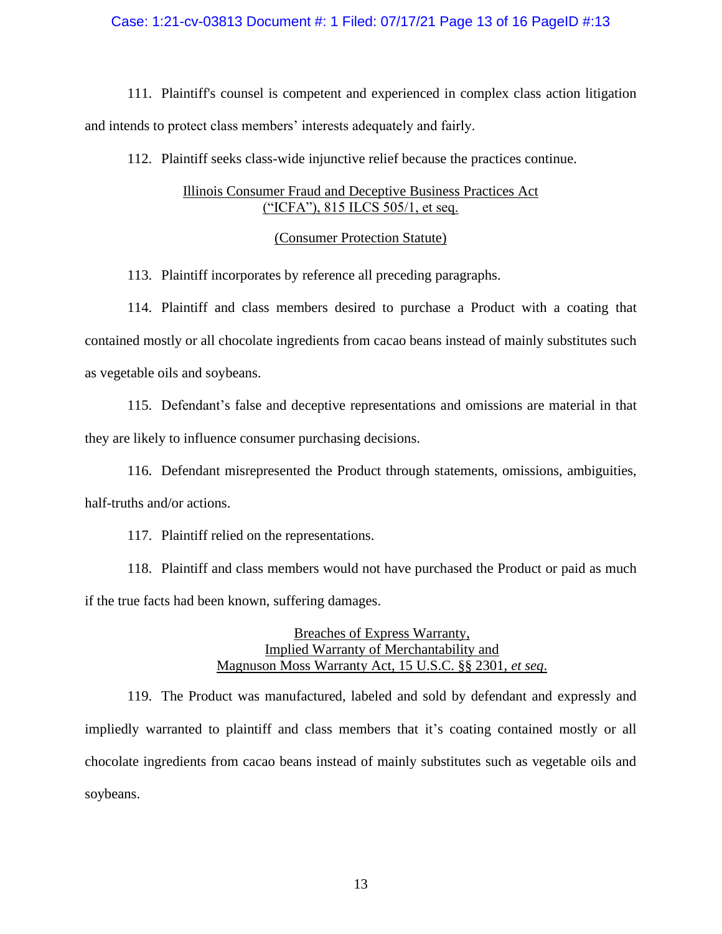### Case: 1:21-cv-03813 Document #: 1 Filed: 07/17/21 Page 13 of 16 PageID #:13

111. Plaintiff's counsel is competent and experienced in complex class action litigation and intends to protect class members' interests adequately and fairly.

112. Plaintiff seeks class-wide injunctive relief because the practices continue.

# Illinois Consumer Fraud and Deceptive Business Practices Act ("ICFA"), 815 ILCS 505/1, et seq.

### (Consumer Protection Statute)

113. Plaintiff incorporates by reference all preceding paragraphs.

114. Plaintiff and class members desired to purchase a Product with a coating that contained mostly or all chocolate ingredients from cacao beans instead of mainly substitutes such as vegetable oils and soybeans.

115. Defendant's false and deceptive representations and omissions are material in that they are likely to influence consumer purchasing decisions.

116. Defendant misrepresented the Product through statements, omissions, ambiguities, half-truths and/or actions.

117. Plaintiff relied on the representations.

118. Plaintiff and class members would not have purchased the Product or paid as much if the true facts had been known, suffering damages.

> Breaches of Express Warranty, Implied Warranty of Merchantability and Magnuson Moss Warranty Act, 15 U.S.C. §§ 2301, *et seq*.

119. The Product was manufactured, labeled and sold by defendant and expressly and impliedly warranted to plaintiff and class members that it's coating contained mostly or all chocolate ingredients from cacao beans instead of mainly substitutes such as vegetable oils and soybeans.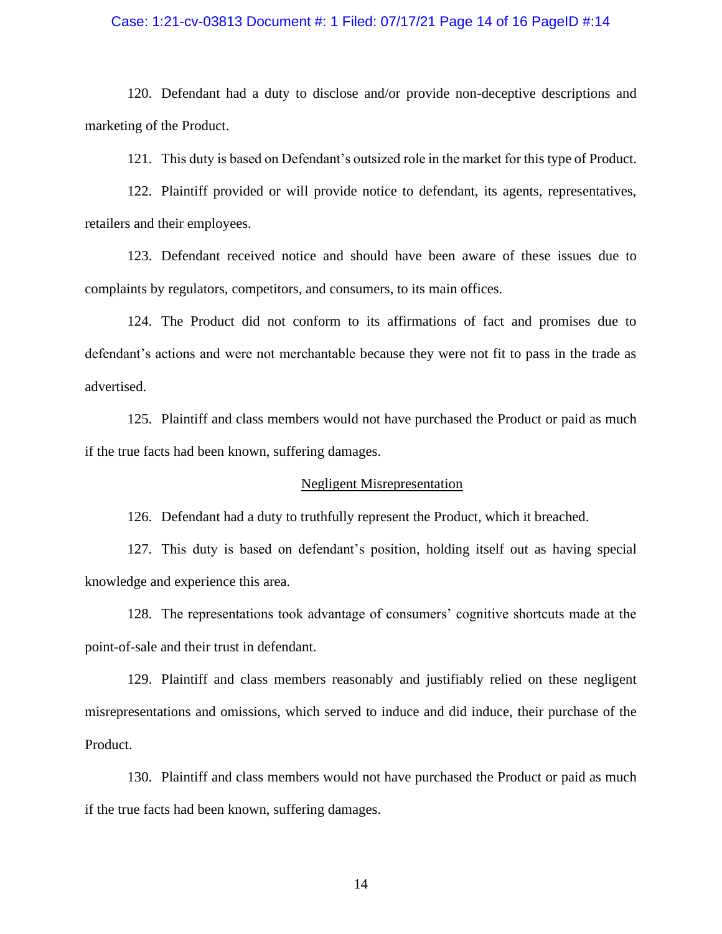### Case: 1:21-cv-03813 Document #: 1 Filed: 07/17/21 Page 14 of 16 PageID #:14

120. Defendant had a duty to disclose and/or provide non-deceptive descriptions and marketing of the Product.

121. This duty is based on Defendant's outsized role in the market for this type of Product.

122. Plaintiff provided or will provide notice to defendant, its agents, representatives, retailers and their employees.

123. Defendant received notice and should have been aware of these issues due to complaints by regulators, competitors, and consumers, to its main offices.

124. The Product did not conform to its affirmations of fact and promises due to defendant's actions and were not merchantable because they were not fit to pass in the trade as advertised.

125. Plaintiff and class members would not have purchased the Product or paid as much if the true facts had been known, suffering damages.

### Negligent Misrepresentation

126. Defendant had a duty to truthfully represent the Product, which it breached.

127. This duty is based on defendant's position, holding itself out as having special knowledge and experience this area.

128. The representations took advantage of consumers' cognitive shortcuts made at the point-of-sale and their trust in defendant.

129. Plaintiff and class members reasonably and justifiably relied on these negligent misrepresentations and omissions, which served to induce and did induce, their purchase of the Product.

130. Plaintiff and class members would not have purchased the Product or paid as much if the true facts had been known, suffering damages.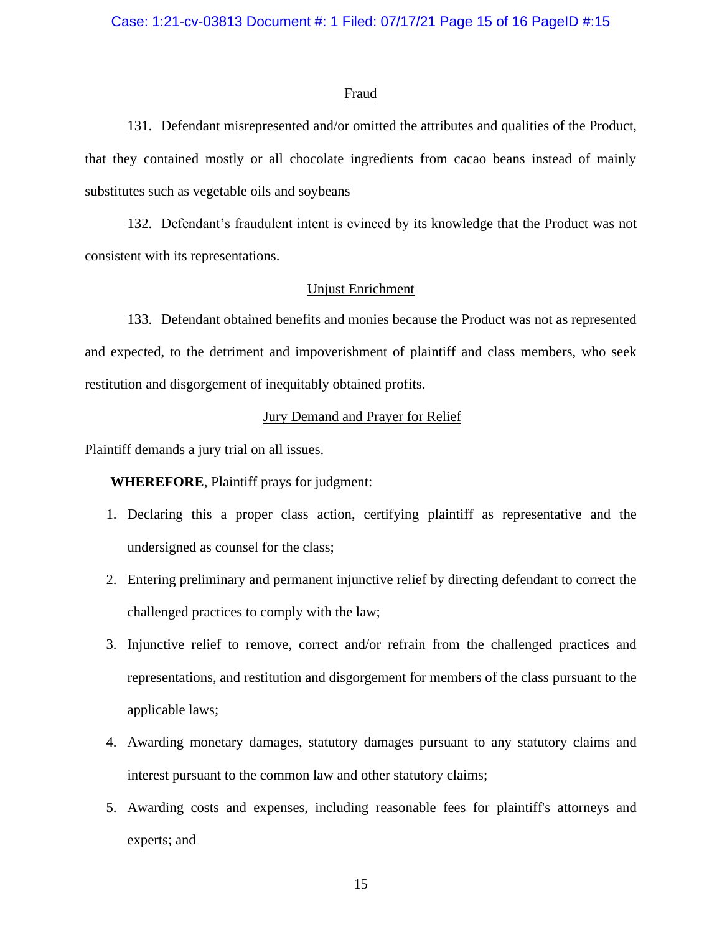#### Fraud

131. Defendant misrepresented and/or omitted the attributes and qualities of the Product, that they contained mostly or all chocolate ingredients from cacao beans instead of mainly substitutes such as vegetable oils and soybeans

132. Defendant's fraudulent intent is evinced by its knowledge that the Product was not consistent with its representations.

### Unjust Enrichment

133. Defendant obtained benefits and monies because the Product was not as represented and expected, to the detriment and impoverishment of plaintiff and class members, who seek restitution and disgorgement of inequitably obtained profits.

### Jury Demand and Prayer for Relief

Plaintiff demands a jury trial on all issues.

**WHEREFORE**, Plaintiff prays for judgment:

- 1. Declaring this a proper class action, certifying plaintiff as representative and the undersigned as counsel for the class;
- 2. Entering preliminary and permanent injunctive relief by directing defendant to correct the challenged practices to comply with the law;
- 3. Injunctive relief to remove, correct and/or refrain from the challenged practices and representations, and restitution and disgorgement for members of the class pursuant to the applicable laws;
- 4. Awarding monetary damages, statutory damages pursuant to any statutory claims and interest pursuant to the common law and other statutory claims;
- 5. Awarding costs and expenses, including reasonable fees for plaintiff's attorneys and experts; and